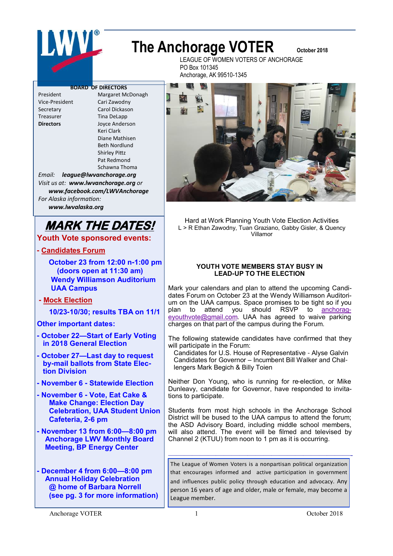# LWVL

## **The Anchorage VOTER** October 2018

LEAGUE OF WOMEN VOTERS OF ANCHORAGE PO Box 101345 Anchorage, AK 99510-1345

#### **BOARD OF DIRECTORS**

President Margaret McDonagh Vice-President Cari Zawodny Secretary Carol Dickason Treasurer Tina DeLapp **Directors** Joyce Anderson Keri Clark Diane Mathisen Beth Nordlund Shirley Pittz Pat Redmond Schawna Thoma

*Email: league@lwvanchorage.org Visit us at: www.lwvanchorage.org or www.facebook.com/LWVAnchorage For Alaska information:* 

 *www.lwvalaska.org*

## **MARK THE DATES!**

**Youth Vote sponsored events:**

#### **- Candidates Forum**

 **October 23 from 12:00 n-1:00 pm (doors open at 11:30 am) Wendy Williamson Auditorium UAA Campus** 

#### **- Mock Election**

 **10/23-10/30; results TBA on 11/1**

**Other important dates:**

- **- October 22—Start of Early Voting in 2018 General Election**
- **- October 27—Last day to request by-mail ballots from State Elec tion Division**
- **- November 6 - Statewide Election**
- **- November 6 - Vote, Eat Cake & Make Change: Election Day Celebration, UAA Student Union Cafeteria, 2-6 pm**
- **- November 13 from 6:00—8:00 pm Anchorage LWV Monthly Board Meeting, BP Energy Center**

**- December 4 from 6:00—8:00 pm Annual Holiday Celebration @ home of Barbara Norrell (see pg. 3 for more information)**



Hard at Work Planning Youth Vote Election Activities L > R Ethan Zawodny, Tuan Graziano, Gabby Gisler, & Quency Villamor

#### **YOUTH VOTE MEMBERS STAY BUSY IN LEAD-UP TO THE ELECTION**

Mark your calendars and plan to attend the upcoming Candidates Forum on October 23 at the Wendy Williamson Auditorium on the UAA campus. Space promises to be tight so if you plan to attend you should RSVP to [anchorag](mailto:anchorageyouthvote@gmail.com)[eyouthvote@gmail.com.](mailto:anchorageyouthvote@gmail.com) UAA has agreed to waive parking charges on that part of the campus during the Forum.

The following statewide candidates have confirmed that they will participate in the Forum:

 Candidates for U.S. House of Representative - Alyse Galvin Candidates for Governor – Incumbent Bill Walker and Chal lengers Mark Begich & Billy Toien

Neither Don Young, who is running for re-election, or Mike Dunleavy, candidate for Governor, have responded to invitations to participate.

Students from most high schools in the Anchorage School District will be bused to the UAA campus to attend the forum; the ASD Advisory Board, including middle school members, will also attend. The event will be filmed and televised by Channel 2 (KTUU) from noon to 1 pm as it is occurring.

The League of Women Voters is a nonpartisan political organization that encourages informed and active participation in government and influences public policy through education and advocacy. Any person 16 years of age and older, male or female, may become a League member.

———————————————————————-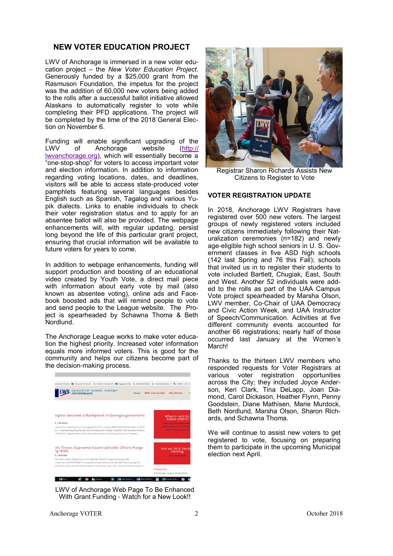#### **NEW VOTER EDUCATION PROJECT**

LWV of Anchorage is immersed in a new voter education project – the *New Voter Education Project*. Generously funded by a \$25,000 grant from the Rasmuson Foundation, the impetus for the project was the addition of 60,000 new voters being added to the rolls after a successful ballot initiative allowed Alaskans to automatically register to vote while completing their PFD applications. The project will be completed by the time of the 2018 General Election on November 6.

Funding will enable significant upgrading of the LWV of Anchorage website (http:// Anchorage [lwvanchorage.org\)](http://lwvanchorage.org), which will essentially become a "one-stop-shop" for voters to access important voter and election information. In addition to information regarding voting locations, dates, and deadlines, visitors will be able to access state-produced voter pamphlets featuring several languages besides English such as Spanish, Tagalog and various Yupik dialects. Links to enable individuals to check their voter registration status and to apply for an absentee ballot will also be provided. The webpage enhancements will, with regular updating, persist long beyond the life of this particular grant project, ensuring that crucial information will be available to future voters for years to come.

In addition to webpage enhancements, funding will support production and boosting of an educational video created by Youth Vote, a direct mail piece with information about early vote by mail (also known as absentee voting), online ads and Facebook boosted ads that will remind people to vote and send people to the League website. The Project is spearheaded by Schawna Thoma & Beth Nordlund.

The Anchorage League works to make voter education the highest priority. Increased voter information equals more informed voters. This is good for the community and helps our citizens become part of the decision-making process.



LWV of Anchorage Web Page To Be Enhanced With Grant Funding - Watch for a New Look!!



Registrar Sharon Richards Assists New Citizens to Register to Vote

#### **VOTER REGISTRATION UPDATE**

In 2018, Anchorage LWV Registrars have registered over 500 new voters. The largest groups of newly registered voters included new citizens immediately following their Naturalization ceremonies (n=182) and newly age-eligible high school seniors in U. S. Government classes in five ASD high schools (142 last Spring and 76 this Fall); schools that invited us in to register their students to vote included Bartlett, Chugiak, East, South and West. Another 52 individuals were added to the rolls as part of the UAA Campus Vote project spearheaded by Marsha Olson, LWV member, Co-Chair of UAA Democracy and Civic Action Week, and UAA Instructor of Speech/Communication. Activities at five different community events accounted for another 66 registrations; nearly half of those occurred last January at the Women's March!

Thanks to the thirteen LWV members who responded requests for Voter Registrars at various voter registration opportunities across the City; they included Joyce Anderson, Keri Clark, Tina DeLapp, Joan Diamond, Carol Dickason, Heather Flynn, Penny Goodstein, Diane Mathisen, Marie Murdock, Beth Nordlund, Marsha Olson, Sharon Richards, and Schawna Thoma.

We will continue to assist new voters to get registered to vote, focusing on preparing them to participate in the upcoming Municipal election next April.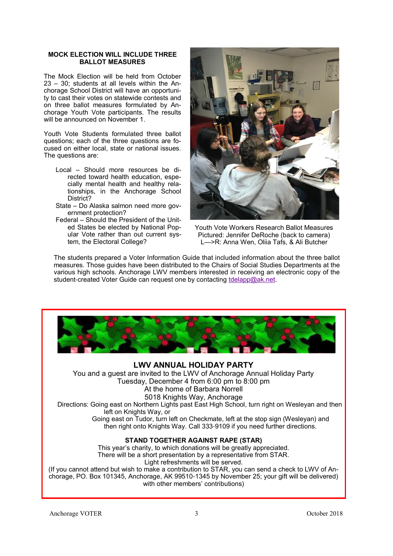#### **MOCK ELECTION WILL INCLUDE THREE BALLOT MEASURES**

The Mock Election will be held from October 23 – 30; students at all levels within the Anchorage School District will have an opportunity to cast their votes on statewide contests and on three ballot measures formulated by Anchorage Youth Vote participants. The results will be announced on November 1.

Youth Vote Students formulated three ballot questions; each of the three questions are focused on either local, state or national issues. The questions are:

- Local Should more resources be directed toward health education, especially mental health and healthy relationships, in the Anchorage School District?
- State Do Alaska salmon need more government protection?
- Federal Should the President of the United States be elected by National Popular Vote rather than out current system, the Electoral College?



Youth Vote Workers Research Ballot Measures Pictured: Jennifer DeRoche (back to camera) L—>R: Anna Wen, Oliia Tafs, & Ali Butcher

The students prepared a Voter Information Guide that included information about the three ballot measures. Those guides have been distributed to the Chairs of Social Studies Departments at the various high schools. Anchorage LWV members interested in receiving an electronic copy of the student-created Voter Guide can request one by contacting [tdelapp@ak.net.](mailto:tdelapp@ak.net)